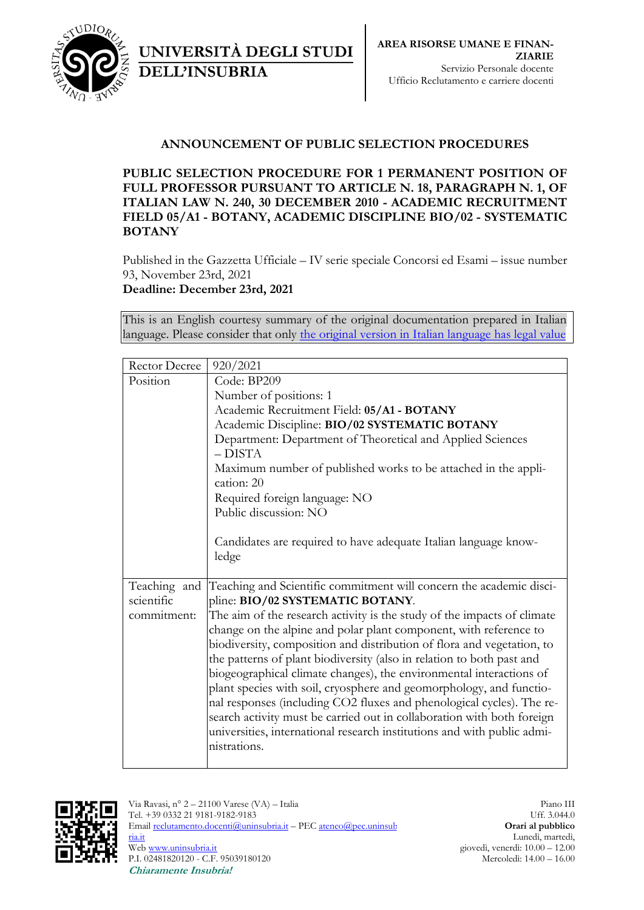

## **ANNOUNCEMENT OF PUBLIC SELECTION PROCEDURES**

**PUBLIC SELECTION PROCEDURE FOR 1 PERMANENT POSITION OF FULL PROFESSOR PURSUANT TO ARTICLE N. 18, PARAGRAPH N. 1, OF ITALIAN LAW N. 240, 30 DECEMBER 2010 - ACADEMIC RECRUITMENT FIELD 05/A1 - BOTANY, ACADEMIC DISCIPLINE BIO/02 - SYSTEMATIC BOTANY**

Published in the Gazzetta Ufficiale – IV serie speciale Concorsi ed Esami – issue number 93, November 23rd, 2021 **Deadline: December 23rd, 2021**

UNIVERSITÀ DEGLI STUDI

**DELL'INSUBRIA** 

This is an English courtesy summary of the original documentation prepared in Italian language. Please consider that only [the original version in Italian language has legal value](https://www.uninsubria.it/opportunita/procedura-comparativa-la-chiamata-di-n-1-professore-ordinario-sc-05a1-profilo-ssd-bio02)

| Rector Decree | 920/2021                                                                     |
|---------------|------------------------------------------------------------------------------|
| Position      | Code: BP209                                                                  |
|               | Number of positions: 1                                                       |
|               | Academic Recruitment Field: 05/A1 - BOTANY                                   |
|               | Academic Discipline: BIO/02 SYSTEMATIC BOTANY                                |
|               | Department: Department of Theoretical and Applied Sciences                   |
|               | $-$ DISTA                                                                    |
|               | Maximum number of published works to be attached in the appli-<br>cation: 20 |
|               | Required foreign language: NO                                                |
|               | Public discussion: NO                                                        |
|               |                                                                              |
|               | Candidates are required to have adequate Italian language know-              |
|               | ledge                                                                        |
|               |                                                                              |
| Teaching and  | Teaching and Scientific commitment will concern the academic disci-          |
| scientific    | pline: BIO/02 SYSTEMATIC BOTANY.                                             |
| commitment:   | The aim of the research activity is the study of the impacts of climate      |
|               | change on the alpine and polar plant component, with reference to            |
|               | biodiversity, composition and distribution of flora and vegetation, to       |
|               | the patterns of plant biodiversity (also in relation to both past and        |
|               | biogeographical climate changes), the environmental interactions of          |
|               | plant species with soil, cryosphere and geomorphology, and functio-          |
|               | nal responses (including CO2 fluxes and phenological cycles). The re-        |
|               | search activity must be carried out in collaboration with both foreign       |
|               | universities, international research institutions and with public admi-      |
|               | nistrations.                                                                 |
|               |                                                                              |

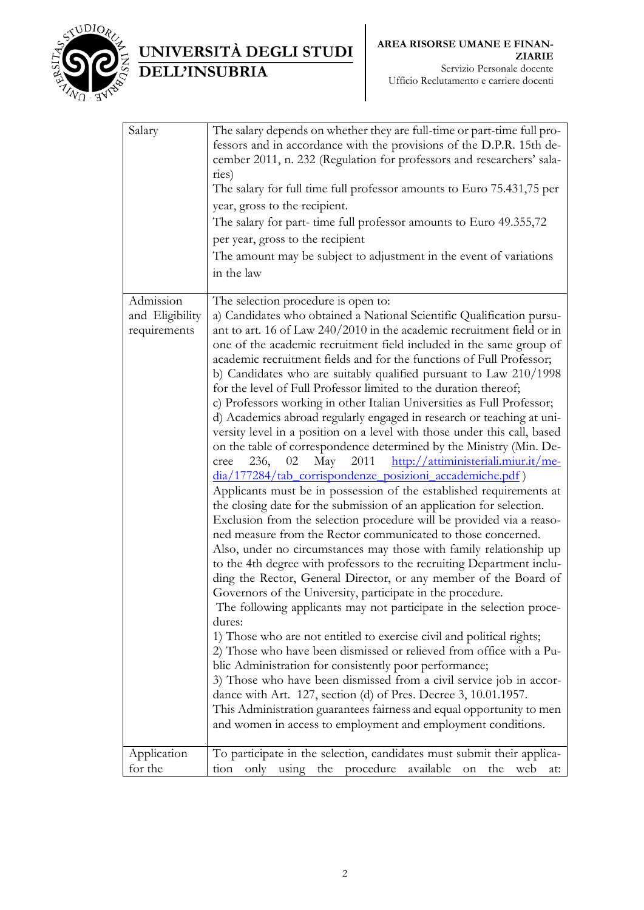

UNIVERSITÀ DEGLI STUDI DELL'INSUBRIA

| Salary                                       | The salary depends on whether they are full-time or part-time full pro-<br>fessors and in accordance with the provisions of the D.P.R. 15th de-<br>cember 2011, n. 232 (Regulation for professors and researchers' sala-<br>ries)<br>The salary for full time full professor amounts to Euro 75.431,75 per<br>year, gross to the recipient.<br>The salary for part-time full professor amounts to Euro 49.355,72<br>per year, gross to the recipient<br>The amount may be subject to adjustment in the event of variations<br>in the law                                                                                                                                                                                                                                                                                                                                                                                                                                                                                                                                                                                                                                                                                                                                                                                                                                                                                                                                                                                                                                                                                                                                                                                                                                                                                                                                                                                                                                                                                                                                           |
|----------------------------------------------|------------------------------------------------------------------------------------------------------------------------------------------------------------------------------------------------------------------------------------------------------------------------------------------------------------------------------------------------------------------------------------------------------------------------------------------------------------------------------------------------------------------------------------------------------------------------------------------------------------------------------------------------------------------------------------------------------------------------------------------------------------------------------------------------------------------------------------------------------------------------------------------------------------------------------------------------------------------------------------------------------------------------------------------------------------------------------------------------------------------------------------------------------------------------------------------------------------------------------------------------------------------------------------------------------------------------------------------------------------------------------------------------------------------------------------------------------------------------------------------------------------------------------------------------------------------------------------------------------------------------------------------------------------------------------------------------------------------------------------------------------------------------------------------------------------------------------------------------------------------------------------------------------------------------------------------------------------------------------------------------------------------------------------------------------------------------------------|
| Admission<br>and Eligibility<br>requirements | The selection procedure is open to:<br>a) Candidates who obtained a National Scientific Qualification pursu-<br>ant to art. 16 of Law 240/2010 in the academic recruitment field or in<br>one of the academic recruitment field included in the same group of<br>academic recruitment fields and for the functions of Full Professor;<br>b) Candidates who are suitably qualified pursuant to Law 210/1998<br>for the level of Full Professor limited to the duration thereof;<br>c) Professors working in other Italian Universities as Full Professor;<br>d) Academics abroad regularly engaged in research or teaching at uni-<br>versity level in a position on a level with those under this call, based<br>on the table of correspondence determined by the Ministry (Min. De-<br>May<br>2011<br>http://attiministeriali.miur.it/me-<br>236,<br>02<br>cree<br>dia/177284/tab_corrispondenze_posizioni_accademiche.pdf)<br>Applicants must be in possession of the established requirements at<br>the closing date for the submission of an application for selection.<br>Exclusion from the selection procedure will be provided via a reaso-<br>ned measure from the Rector communicated to those concerned.<br>Also, under no circumstances may those with family relationship up<br>to the 4th degree with professors to the recruiting Department inclu-<br>ding the Rector, General Director, or any member of the Board of<br>Governors of the University, participate in the procedure.<br>The following applicants may not participate in the selection proce-<br>dures:<br>1) Those who are not entitled to exercise civil and political rights;<br>2) Those who have been dismissed or relieved from office with a Pu-<br>blic Administration for consistently poor performance;<br>3) Those who have been dismissed from a civil service job in accor-<br>dance with Art. 127, section (d) of Pres. Decree 3, 10.01.1957.<br>This Administration guarantees fairness and equal opportunity to men<br>and women in access to employment and employment conditions. |
| Application<br>for the                       | To participate in the selection, candidates must submit their applica-<br>procedure<br>available<br>only<br>using<br>the<br>the<br>tion<br>on<br>web<br>at:                                                                                                                                                                                                                                                                                                                                                                                                                                                                                                                                                                                                                                                                                                                                                                                                                                                                                                                                                                                                                                                                                                                                                                                                                                                                                                                                                                                                                                                                                                                                                                                                                                                                                                                                                                                                                                                                                                                        |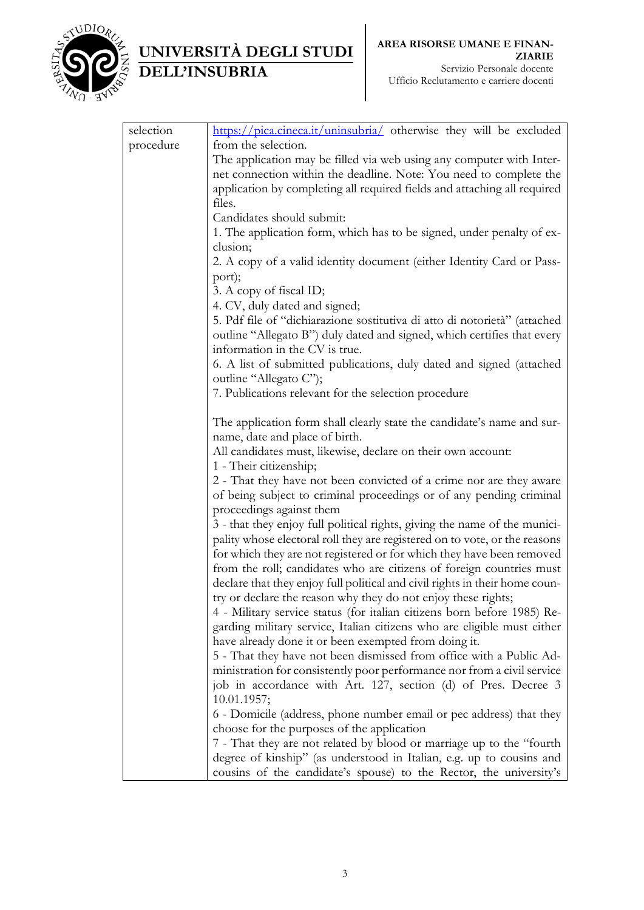

## UNIVERSITÀ DEGLI STUDI DELL'INSUBRIA

| selection | $\frac{https://pica.cineca.it/uninsubria/}{https://pica.cineca.it/uninsubria/}$ otherwise they will be excluded |
|-----------|-----------------------------------------------------------------------------------------------------------------|
| procedure | from the selection.                                                                                             |
|           | The application may be filled via web using any computer with Inter-                                            |
|           | net connection within the deadline. Note: You need to complete the                                              |
|           | application by completing all required fields and attaching all required                                        |
|           | files.                                                                                                          |
|           | Candidates should submit:                                                                                       |
|           | 1. The application form, which has to be signed, under penalty of ex-                                           |
|           | clusion;                                                                                                        |
|           | 2. A copy of a valid identity document (either Identity Card or Pass-                                           |
|           | port);                                                                                                          |
|           | 3. A copy of fiscal ID;                                                                                         |
|           | 4. CV, duly dated and signed;                                                                                   |
|           | 5. Pdf file of "dichiarazione sostitutiva di atto di notorietà" (attached                                       |
|           | outline "Allegato B") duly dated and signed, which certifies that every                                         |
|           | information in the CV is true.                                                                                  |
|           | 6. A list of submitted publications, duly dated and signed (attached                                            |
|           | outline "Allegato C");                                                                                          |
|           | 7. Publications relevant for the selection procedure                                                            |
|           | The application form shall clearly state the candidate's name and sur-                                          |
|           | name, date and place of birth.                                                                                  |
|           | All candidates must, likewise, declare on their own account:                                                    |
|           | 1 - Their citizenship;                                                                                          |
|           | 2 - That they have not been convicted of a crime nor are they aware                                             |
|           | of being subject to criminal proceedings or of any pending criminal                                             |
|           | proceedings against them                                                                                        |
|           | 3 - that they enjoy full political rights, giving the name of the munici-                                       |
|           | pality whose electoral roll they are registered on to vote, or the reasons                                      |
|           | for which they are not registered or for which they have been removed                                           |
|           | from the roll; candidates who are citizens of foreign countries must                                            |
|           | declare that they enjoy full political and civil rights in their home coun-                                     |
|           | try or declare the reason why they do not enjoy these rights;                                                   |
|           | 4 - Military service status (for italian citizens born before 1985) Re-                                         |
|           | garding military service, Italian citizens who are eligible must either                                         |
|           | have already done it or been exempted from doing it.                                                            |
|           | 5 - That they have not been dismissed from office with a Public Ad-                                             |
|           | ministration for consistently poor performance nor from a civil service                                         |
|           | job in accordance with Art. 127, section (d) of Pres. Decree 3<br>10.01.1957;                                   |
|           | 6 - Domicile (address, phone number email or pec address) that they                                             |
|           | choose for the purposes of the application                                                                      |
|           | 7 - That they are not related by blood or marriage up to the "fourth                                            |
|           | degree of kinship" (as understood in Italian, e.g. up to cousins and                                            |
|           | cousins of the candidate's spouse) to the Rector, the university's                                              |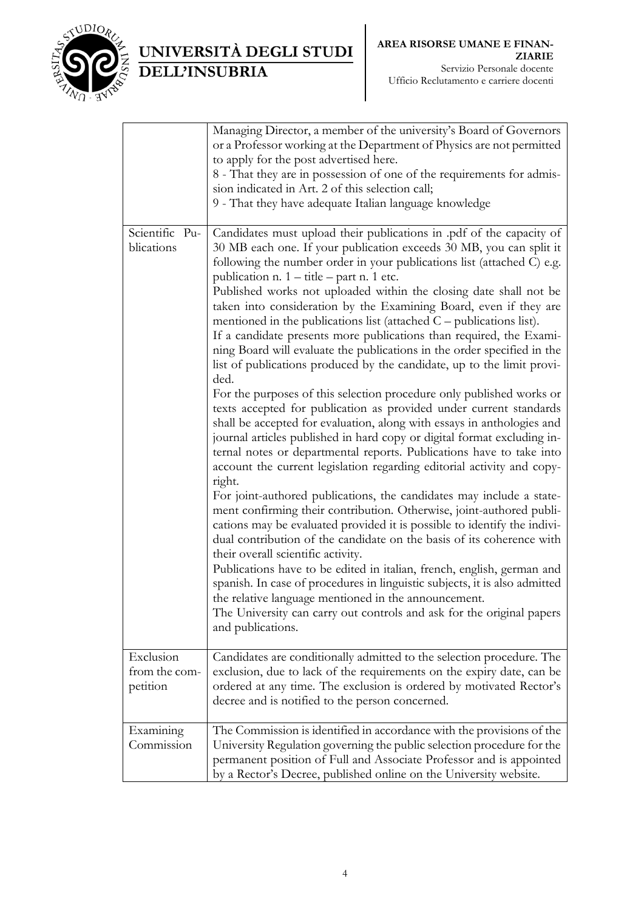

## UNIVERSITÀ DEGLI STUDI DELL'INSUBRIA

|                                        | Managing Director, a member of the university's Board of Governors<br>or a Professor working at the Department of Physics are not permitted<br>to apply for the post advertised here.<br>8 - That they are in possession of one of the requirements for admis-<br>sion indicated in Art. 2 of this selection call;<br>9 - That they have adequate Italian language knowledge                                                                                                                                                                                                                                                                                                                                                                                                                                                                                                                                                                                                                                                                                                                                                                                                                                                                                                                                                                                                                                                                                                                                                                                                                                                                                                                                                                                                                                                                      |
|----------------------------------------|---------------------------------------------------------------------------------------------------------------------------------------------------------------------------------------------------------------------------------------------------------------------------------------------------------------------------------------------------------------------------------------------------------------------------------------------------------------------------------------------------------------------------------------------------------------------------------------------------------------------------------------------------------------------------------------------------------------------------------------------------------------------------------------------------------------------------------------------------------------------------------------------------------------------------------------------------------------------------------------------------------------------------------------------------------------------------------------------------------------------------------------------------------------------------------------------------------------------------------------------------------------------------------------------------------------------------------------------------------------------------------------------------------------------------------------------------------------------------------------------------------------------------------------------------------------------------------------------------------------------------------------------------------------------------------------------------------------------------------------------------------------------------------------------------------------------------------------------------|
| Scientific Pu-<br>blications           | Candidates must upload their publications in pdf of the capacity of<br>30 MB each one. If your publication exceeds 30 MB, you can split it<br>following the number order in your publications list (attached C) e.g.<br>publication n. 1 - title - part n. 1 etc.<br>Published works not uploaded within the closing date shall not be<br>taken into consideration by the Examining Board, even if they are<br>mentioned in the publications list (attached $C$ – publications list).<br>If a candidate presents more publications than required, the Exami-<br>ning Board will evaluate the publications in the order specified in the<br>list of publications produced by the candidate, up to the limit provi-<br>ded.<br>For the purposes of this selection procedure only published works or<br>texts accepted for publication as provided under current standards<br>shall be accepted for evaluation, along with essays in anthologies and<br>journal articles published in hard copy or digital format excluding in-<br>ternal notes or departmental reports. Publications have to take into<br>account the current legislation regarding editorial activity and copy-<br>right.<br>For joint-authored publications, the candidates may include a state-<br>ment confirming their contribution. Otherwise, joint-authored publi-<br>cations may be evaluated provided it is possible to identify the indivi-<br>dual contribution of the candidate on the basis of its coherence with<br>their overall scientific activity.<br>Publications have to be edited in italian, french, english, german and<br>spanish. In case of procedures in linguistic subjects, it is also admitted<br>the relative language mentioned in the announcement.<br>The University can carry out controls and ask for the original papers<br>and publications. |
| Exclusion<br>from the com-<br>petition | Candidates are conditionally admitted to the selection procedure. The<br>exclusion, due to lack of the requirements on the expiry date, can be<br>ordered at any time. The exclusion is ordered by motivated Rector's<br>decree and is notified to the person concerned.                                                                                                                                                                                                                                                                                                                                                                                                                                                                                                                                                                                                                                                                                                                                                                                                                                                                                                                                                                                                                                                                                                                                                                                                                                                                                                                                                                                                                                                                                                                                                                          |
| Examining<br>Commission                | The Commission is identified in accordance with the provisions of the<br>University Regulation governing the public selection procedure for the<br>permanent position of Full and Associate Professor and is appointed<br>by a Rector's Decree, published online on the University website.                                                                                                                                                                                                                                                                                                                                                                                                                                                                                                                                                                                                                                                                                                                                                                                                                                                                                                                                                                                                                                                                                                                                                                                                                                                                                                                                                                                                                                                                                                                                                       |